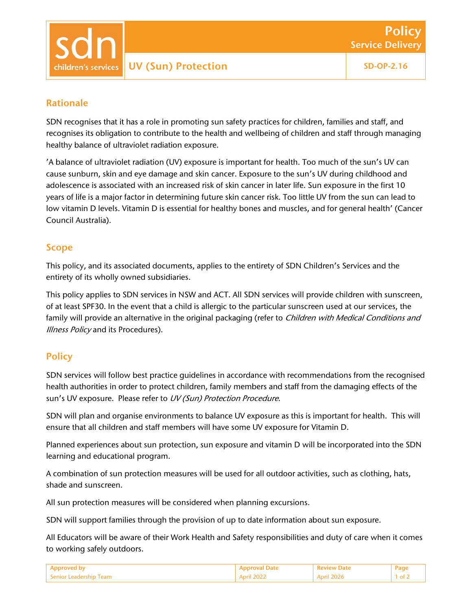UV (Sun) Protection SD-OP-2.16 hildren's services:

## Rationale

SDN recognises that it has a role in promoting sun safety practices for children, families and staff, and recognises its obligation to contribute to the health and wellbeing of children and staff through managing healthy balance of ultraviolet radiation exposure.

'A balance of ultraviolet radiation (UV) exposure is important for health. Too much of the sun's UV can cause sunburn, skin and eye damage and skin cancer. Exposure to the sun's UV during childhood and adolescence is associated with an increased risk of skin cancer in later life. Sun exposure in the first 10 years of life is a major factor in determining future skin cancer risk. Too little UV from the sun can lead to low vitamin D levels. Vitamin D is essential for healthy bones and muscles, and for general health' (Cancer Council Australia).

### Scope

This policy, and its associated documents, applies to the entirety of SDN Children's Services and the entirety of its wholly owned subsidiaries.

This policy applies to SDN services in NSW and ACT. All SDN services will provide children with sunscreen, of at least SPF30. In the event that a child is allergic to the particular sunscreen used at our services, the family will provide an alternative in the original packaging (refer to *Children with Medical Conditions and* **Illness Policy and its Procedures).** 

# **Policy**

SDN services will follow best practice guidelines in accordance with recommendations from the recognised health authorities in order to protect children, family members and staff from the damaging effects of the sun's UV exposure. Please refer to UV (Sun) Protection Procedure.

SDN will plan and organise environments to balance UV exposure as this is important for health. This will ensure that all children and staff members will have some UV exposure for Vitamin D.

Planned experiences about sun protection, sun exposure and vitamin D will be incorporated into the SDN learning and educational program.

A combination of sun protection measures will be used for all outdoor activities, such as clothing, hats, shade and sunscreen.

All sun protection measures will be considered when planning excursions.

SDN will support families through the provision of up to date information about sun exposure.

All Educators will be aware of their Work Health and Safety responsibilities and duty of care when it comes to working safely outdoors.

|               |  | 'ao  |
|---------------|--|------|
| adership Team |  | - റ† |